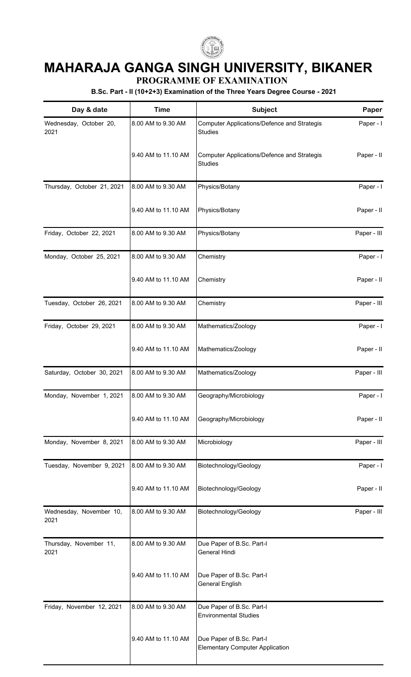

## **MAHARAJA GANGA SINGH UNIVERSITY, BIKANER**

**PROGRAMME OF EXAMINATION**

**B.Sc. Part - II (10+2+3) Examination of the Three Years Degree Course - 2021**

| Day & date                      | <b>Time</b>         | Subject                                                             | Paper       |
|---------------------------------|---------------------|---------------------------------------------------------------------|-------------|
| Wednesday, October 20,<br>2021  | 8.00 AM to 9.30 AM  | Computer Applications/Defence and Strategis<br><b>Studies</b>       | Paper - I   |
|                                 | 9.40 AM to 11.10 AM | Computer Applications/Defence and Strategis<br><b>Studies</b>       | Paper - II  |
| Thursday, October 21, 2021      | 8.00 AM to 9.30 AM  | Physics/Botany                                                      | Paper - I   |
|                                 | 9.40 AM to 11.10 AM | Physics/Botany                                                      | Paper - II  |
| Friday, October 22, 2021        | 8.00 AM to 9.30 AM  | Physics/Botany                                                      | Paper - III |
| Monday, October 25, 2021        | 8.00 AM to 9.30 AM  | Chemistry                                                           | Paper - I   |
|                                 | 9.40 AM to 11.10 AM | Chemistry                                                           | Paper - II  |
| Tuesday, October 26, 2021       | 8.00 AM to 9.30 AM  | Chemistry                                                           | Paper - III |
| Friday, October 29, 2021        | 8.00 AM to 9.30 AM  | Mathematics/Zoology                                                 | Paper - I   |
|                                 | 9.40 AM to 11.10 AM | Mathematics/Zoology                                                 | Paper - II  |
| Saturday, October 30, 2021      | 8.00 AM to 9.30 AM  | Mathematics/Zoology                                                 | Paper - III |
| Monday, November 1, 2021        | 8.00 AM to 9.30 AM  | Geography/Microbiology                                              | Paper - I   |
|                                 | 9.40 AM to 11.10 AM | Geography/Microbiology                                              | Paper - II  |
| Monday, November 8, 2021        | 8.00 AM to 9.30 AM  | Microbiology                                                        | Paper - III |
| Tuesday, November 9, 2021       | 8.00 AM to 9.30 AM  | Biotechnology/Geology                                               | Paper - I   |
|                                 | 9.40 AM to 11.10 AM | Biotechnology/Geology                                               | Paper - II  |
| Wednesday, November 10,<br>2021 | 8.00 AM to 9.30 AM  | Biotechnology/Geology                                               | Paper - III |
| Thursday, November 11,<br>2021  | 8.00 AM to 9.30 AM  | Due Paper of B.Sc. Part-I<br>General Hindi                          |             |
|                                 | 9.40 AM to 11.10 AM | Due Paper of B.Sc. Part-I<br><b>General English</b>                 |             |
| Friday, November 12, 2021       | 8.00 AM to 9.30 AM  | Due Paper of B.Sc. Part-I<br><b>Environmental Studies</b>           |             |
|                                 | 9.40 AM to 11.10 AM | Due Paper of B.Sc. Part-I<br><b>Elementary Computer Application</b> |             |